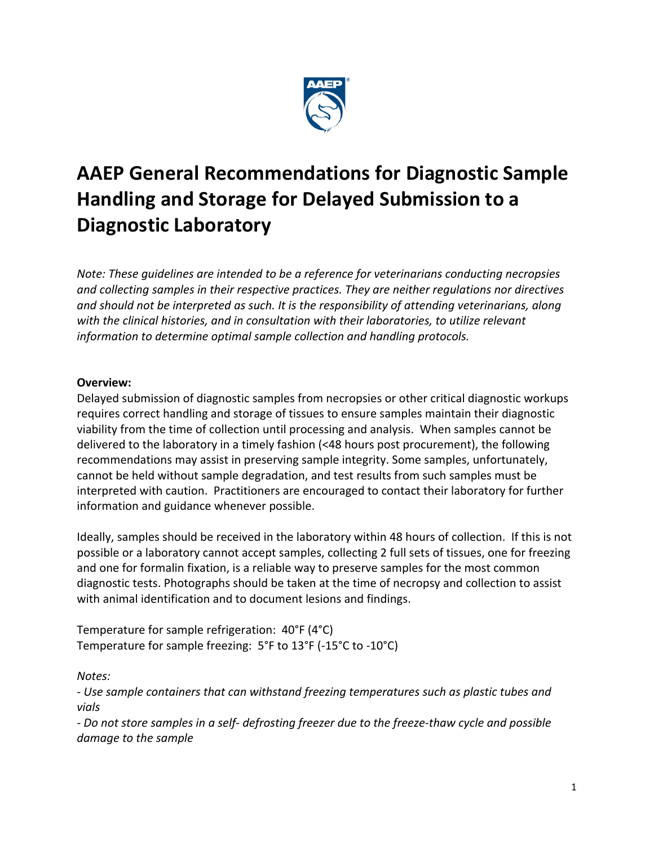

# **AAEP General Recommendations for Diagnostic Sample Handling and Storage for Delayed Submission to a Diagnostic Laboratory**

*Note: These guidelines are intended to be a reference for veterinarians conducting necropsies and collecting samples in their respective practices. They are neither regulations nor directives and should not be interpreted as such. It is the responsibility of attending veterinarians, along with the clinical histories, and in consultation with their laboratories, to utilize relevant information to determine optimal sample collection and handling protocols.*

#### **Overview:**

Delayed submission of diagnostic samples from necropsies or other critical diagnostic workups requires correct handling and storage of tissues to ensure samples maintain their diagnostic viability from the time of collection until processing and analysis. When samples cannot be delivered to the laboratory in a timely fashion (<48 hours post procurement), the following recommendations may assist in preserving sample integrity. Some samples, unfortunately, cannot be held without sample degradation, and test results from such samples must be interpreted with caution. Practitioners are encouraged to contact their laboratory for further information and guidance whenever possible.

Ideally, samples should be received in the laboratory within 48 hours of collection. If this is not possible or a laboratory cannot accept samples, collecting 2 full sets of tissues, one for freezing and one for formalin fixation, is a reliable way to preserve samples for the most common diagnostic tests. Photographs should be taken at the time of necropsy and collection to assist with animal identification and to document lesions and findings.

Temperature for sample refrigeration: 40°F (4°C) Temperature for sample freezing: 5°F to 13°F (-15°C to -10°C)

*Notes:* 

*- Use sample containers that can withstand freezing temperatures such as plastic tubes and vials*

*- Do not store samples in a self- defrosting freezer due to the freeze-thaw cycle and possible damage to the sample*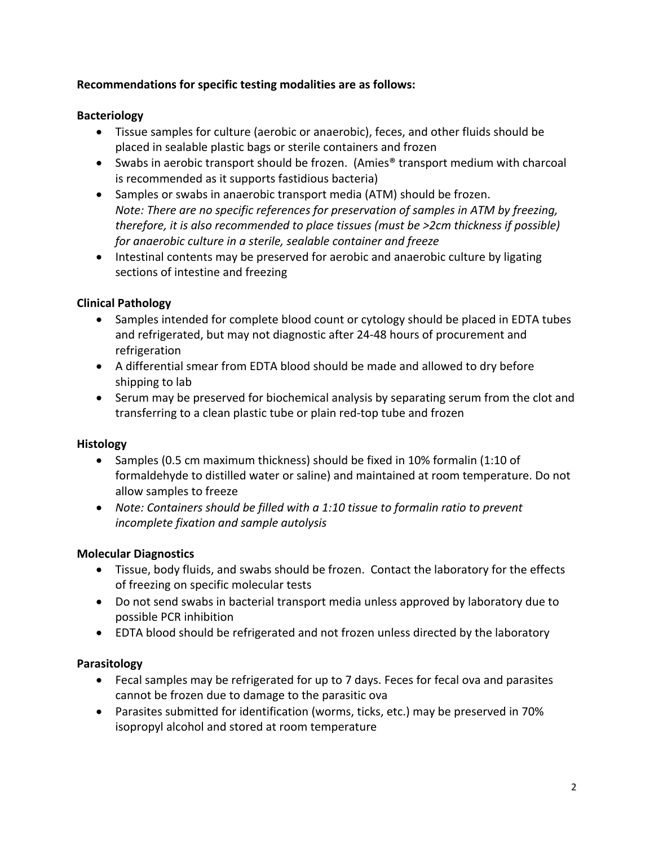### **Recommendations for specific testing modalities are as follows:**

## **Bacteriology**

- Tissue samples for culture (aerobic or anaerobic), feces, and other fluids should be placed in sealable plastic bags or sterile containers and frozen
- Swabs in aerobic transport should be frozen. (Amies<sup>®</sup> transport medium with charcoal is recommended as it supports fastidious bacteria)
- Samples or swabs in anaerobic transport media (ATM) should be frozen. *Note: There are no specific references for preservation of samples in ATM by freezing, therefore, it is also recommended to place tissues (must be >2cm thickness if possible) for anaerobic culture in a sterile, sealable container and freeze*
- Intestinal contents may be preserved for aerobic and anaerobic culture by ligating sections of intestine and freezing

# **Clinical Pathology**

- Samples intended for complete blood count or cytology should be placed in EDTA tubes and refrigerated, but may not diagnostic after 24-48 hours of procurement and refrigeration
- A differential smear from EDTA blood should be made and allowed to dry before shipping to lab
- Serum may be preserved for biochemical analysis by separating serum from the clot and transferring to a clean plastic tube or plain red-top tube and frozen

### **Histology**

- Samples (0.5 cm maximum thickness) should be fixed in 10% formalin (1:10 of formaldehyde to distilled water or saline) and maintained at room temperature. Do not allow samples to freeze
- *Note: Containers should be filled with a 1:10 tissue to formalin ratio to prevent incomplete fixation and sample autolysis*

### **Molecular Diagnostics**

- Tissue, body fluids, and swabs should be frozen. Contact the laboratory for the effects of freezing on specific molecular tests
- Do not send swabs in bacterial transport media unless approved by laboratory due to possible PCR inhibition
- EDTA blood should be refrigerated and not frozen unless directed by the laboratory

### **Parasitology**

- Fecal samples may be refrigerated for up to 7 days. Feces for fecal ova and parasites cannot be frozen due to damage to the parasitic ova
- Parasites submitted for identification (worms, ticks, etc.) may be preserved in 70% isopropyl alcohol and stored at room temperature